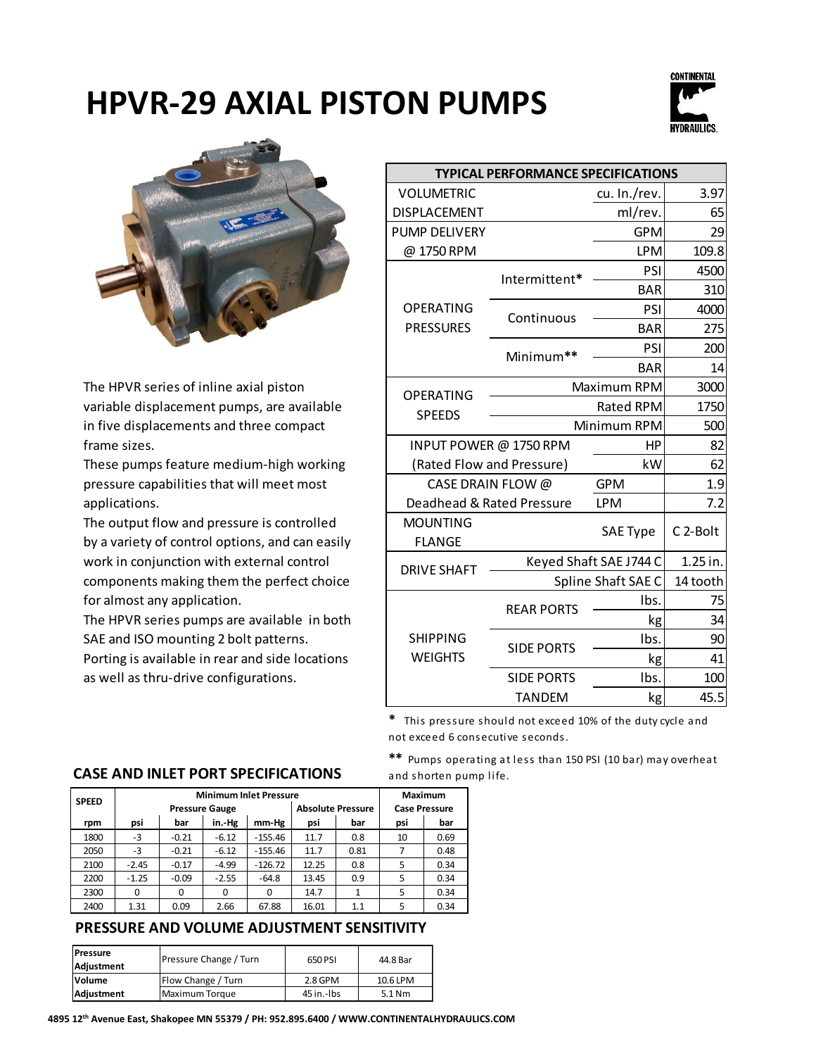



The HPVR series of inline axial piston variable displacement pumps, are available in five displacements and three compact frame sizes.

These pumps feature medium-high working pressure capabilities that will meet most applications.

The output flow and pressure is controlled by a variety of control options, and can easily work in conjunction with external control components making them the perfect choice for almost any application.

The HPVR series pumps are available in both SAE and ISO mounting 2 bolt patterns. Porting is available in rear and side locations as well as thru-drive configurations.

| <b>TYPICAL PERFORMANCE SPECIFICATIONS</b> |                        |                  |                      |  |  |  |
|-------------------------------------------|------------------------|------------------|----------------------|--|--|--|
| <b>VOLUMETRIC</b>                         |                        | cu. In./rev.     | 3.97                 |  |  |  |
| <b>DISPLACEMENT</b>                       |                        | ml/rev.          | 65                   |  |  |  |
| <b>PUMP DELIVERY</b>                      |                        | <b>GPM</b>       | 29                   |  |  |  |
| @1750RPM                                  |                        | <b>LPM</b>       | 109.8                |  |  |  |
|                                           | Intermittent*          | PSI              | 4500                 |  |  |  |
|                                           |                        | <b>BAR</b>       | 310                  |  |  |  |
| <b>OPERATING</b>                          | Continuous             | PSI              | 4000                 |  |  |  |
| <b>PRESSURES</b>                          |                        | <b>BAR</b>       | 275                  |  |  |  |
|                                           | Minimum**              | PSI              | 200                  |  |  |  |
|                                           |                        | <b>BAR</b>       | 14                   |  |  |  |
| <b>OPERATING</b>                          |                        | Maximum RPM      | 3000                 |  |  |  |
| <b>SPEEDS</b>                             |                        | <b>Rated RPM</b> | 1750                 |  |  |  |
|                                           | Minimum RPM            | 500              |                      |  |  |  |
|                                           | INPUT POWER @ 1750 RPM | HP               | 82                   |  |  |  |
| (Rated Flow and Pressure)                 |                        | kW               | 62                   |  |  |  |
| CASE DRAIN FLOW @                         |                        | <b>GPM</b>       | 1.9                  |  |  |  |
| Deadhead & Rated Pressure                 |                        | <b>LPM</b>       | 7.2                  |  |  |  |
| <b>MOUNTING</b><br><b>FLANGE</b>          |                        | <b>SAE Type</b>  | C <sub>2</sub> -Bolt |  |  |  |
| <b>DRIVE SHAFT</b>                        | Keyed Shaft SAE J744 C | 1.25 in.         |                      |  |  |  |
|                                           | Spline Shaft SAE C     |                  | 14 tooth             |  |  |  |
|                                           | <b>REAR PORTS</b>      | Ibs.             | 75                   |  |  |  |
|                                           |                        | kg               | 34                   |  |  |  |
| <b>SHIPPING</b>                           | <b>SIDE PORTS</b>      | Ibs.             | 90                   |  |  |  |
| <b>WEIGHTS</b>                            |                        | kg               | 41                   |  |  |  |
|                                           | <b>SIDE PORTS</b>      | Ibs.             | 100                  |  |  |  |
|                                           | <b>TANDEM</b>          | kg               | 45.5                 |  |  |  |

**\*** This pressure should not exceed 10% of the duty cycle and not exceed 6 consecutive seconds.

#### **\*\*** Pumps operating at less than 150 PSI (10 bar) may overheat and shorten pump life.

### **CASE AND INLET PORT SPECIFICATIONS**

| <b>SPEED</b> | <b>Minimum Inlet Pressure</b>                     |          |         |           |                      |      | <b>Maximum</b> |      |
|--------------|---------------------------------------------------|----------|---------|-----------|----------------------|------|----------------|------|
|              | <b>Absolute Pressure</b><br><b>Pressure Gauge</b> |          |         |           | <b>Case Pressure</b> |      |                |      |
| rpm          | psi                                               | bar      | in.-Hg  | mm-Hg     | psi                  | bar  | psi            | bar  |
| 1800         | -3                                                | $-0.21$  | $-6.12$ | $-155.46$ | 11.7                 | 0.8  | 10             | 0.69 |
| 2050         | -3                                                | $-0.21$  | $-6.12$ | $-155.46$ | 11.7                 | 0.81 |                | 0.48 |
| 2100         | $-2.45$                                           | $-0.17$  | $-4.99$ | $-126.72$ | 12.25                | 0.8  | 5              | 0.34 |
| 2200         | $-1.25$                                           | $-0.09$  | $-2.55$ | $-64.8$   | 13.45                | 0.9  | 5              | 0.34 |
| 2300         | $\Omega$                                          | $\Omega$ | 0       | 0         | 14.7                 | 1    | 5              | 0.34 |
| 2400         | 1.31                                              | 0.09     | 2.66    | 67.88     | 16.01                | 1.1  | 5              | 0.34 |

### **PRESSURE AND VOLUME ADJUSTMENT SENSITIVITY**

| Pressure<br>Adjustment | Pressure Change / Turn | 650 PSI    | 44.8 Bar |  |
|------------------------|------------------------|------------|----------|--|
| Volume                 | Flow Change / Turn     | $2.8$ GPM  | 10.6 LPM |  |
| Adjustment             | Maximum Torque         | 45 in.-lbs | $5.1$ Nm |  |

**4895 12th Avenue East, Shakopee MN 55379 / PH: 952.895.6400 / WWW.CONTINENTALHYDRAULICS.COM**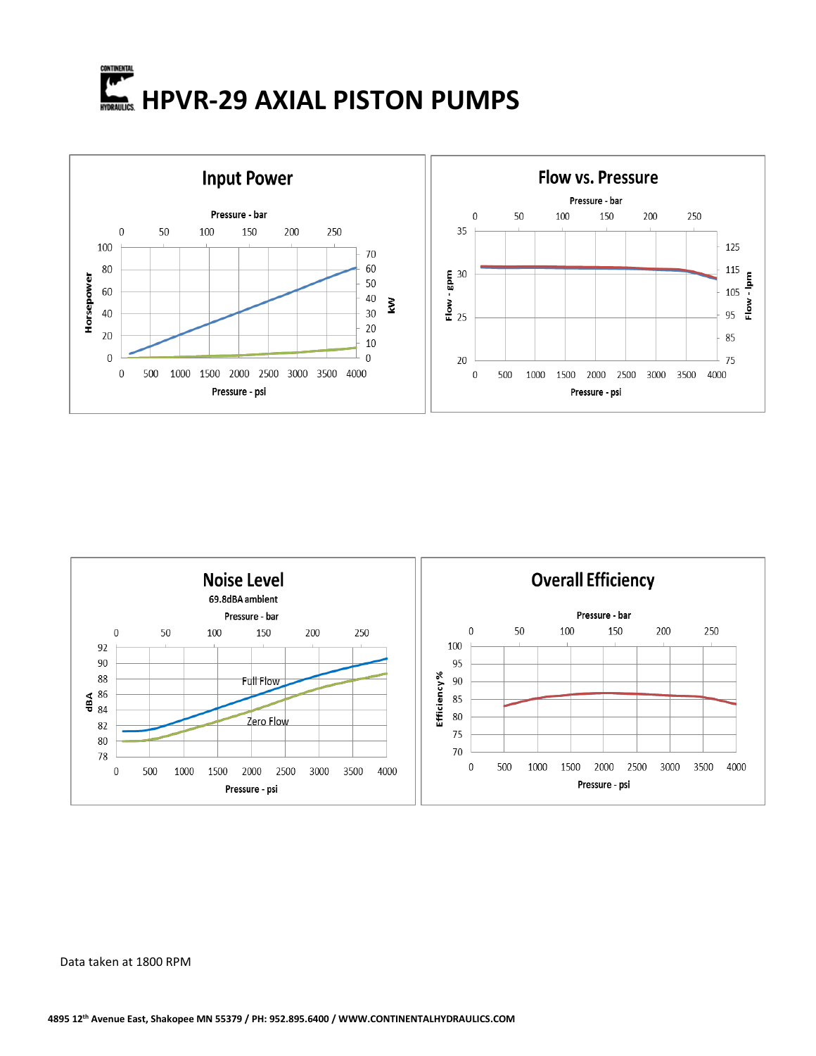





Data taken at 1800 RPM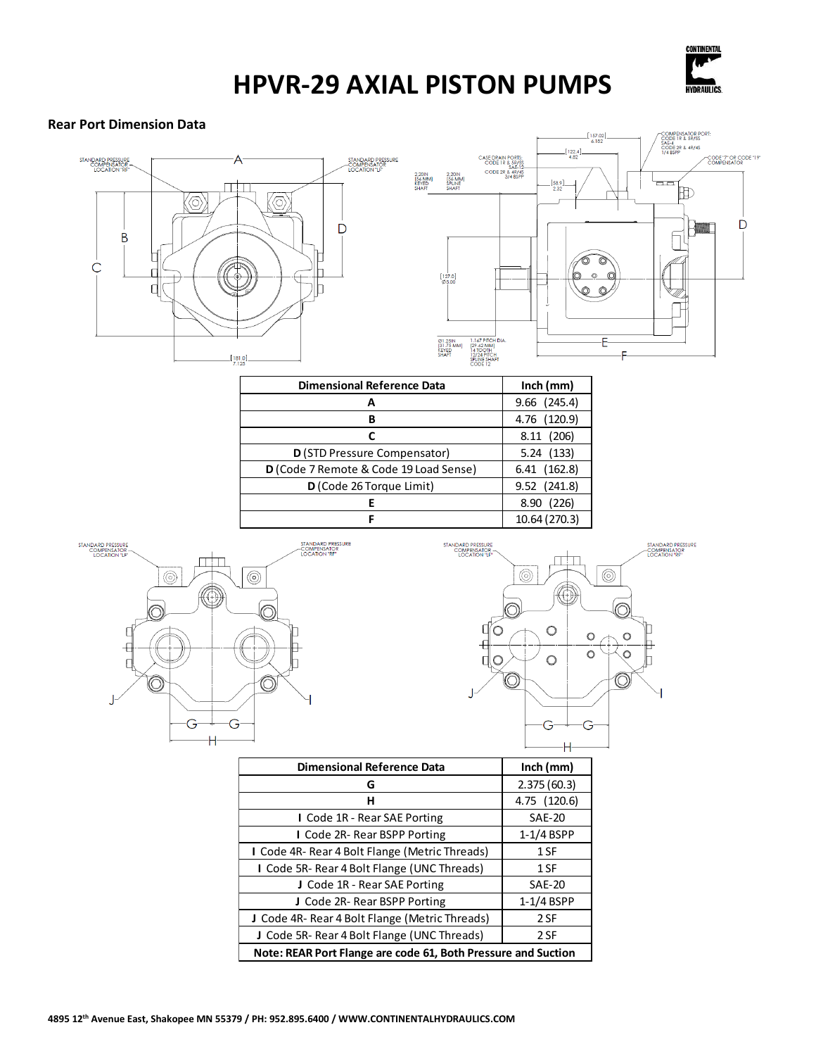

#### **Rear Port Dimension Data**



| <b>Dimensional Reference Data</b>      | Inch (mm)     |
|----------------------------------------|---------------|
| А                                      | 9.66 (245.4)  |
| в                                      | 4.76 (120.9)  |
| С                                      | 8.11 (206)    |
| D (STD Pressure Compensator)           | 5.24(133)     |
| D (Code 7 Remote & Code 19 Load Sense) | 6.41 (162.8)  |
| D (Code 26 Torque Limit)               | 9.52 (241.8)  |
|                                        | 8.90 (226)    |
|                                        | 10.64 (270.3) |



| <b>STANDARD PRESSURE</b><br>COMPENSATOR-<br>LOCATION "LF" |   |        |         | STANDARD PRESSURE<br><b>COMPENSATOR</b><br>LOCATION "RF" |
|-----------------------------------------------------------|---|--------|---------|----------------------------------------------------------|
| C                                                         |   | 0.     |         |                                                          |
|                                                           | J | O<br>٠ | n       |                                                          |
|                                                           | в | п<br>n | $\circ$ |                                                          |
|                                                           |   |        |         |                                                          |
|                                                           |   |        |         |                                                          |

| <b>Dimensional Reference Data</b>                             | Inch (mm)     |  |  |
|---------------------------------------------------------------|---------------|--|--|
| G                                                             | 2.375(60.3)   |  |  |
| н                                                             | 4.75 (120.6)  |  |  |
| I Code 1R - Rear SAE Porting                                  | <b>SAE-20</b> |  |  |
| I Code 2R-Rear BSPP Porting                                   | $1-1/4$ BSPP  |  |  |
| I Code 4R- Rear 4 Bolt Flange (Metric Threads)                | 1 SF          |  |  |
| I Code 5R- Rear 4 Bolt Flange (UNC Threads)                   | 1 SF          |  |  |
| J Code 1R - Rear SAE Porting                                  | <b>SAE-20</b> |  |  |
| J Code 2R-Rear BSPP Porting                                   | $1-1/4$ BSPP  |  |  |
| J Code 4R- Rear 4 Bolt Flange (Metric Threads)                | 2 SF          |  |  |
| J Code 5R- Rear 4 Bolt Flange (UNC Threads)                   | 2 SF          |  |  |
| Note: REAR Port Flange are code 61, Both Pressure and Suction |               |  |  |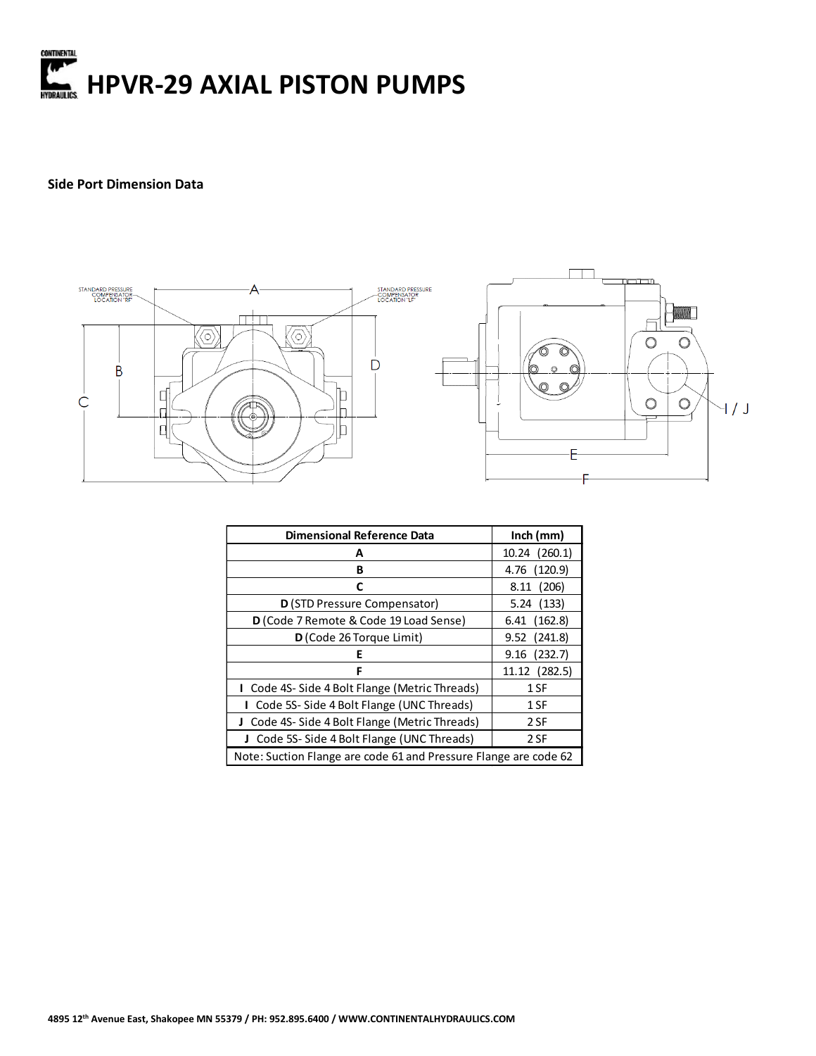

#### **Side Port Dimension Data**



| <b>Dimensional Reference Data</b>                                | Inch $(mm)$      |  |  |
|------------------------------------------------------------------|------------------|--|--|
| А                                                                | 10.24 (260.1)    |  |  |
| В                                                                | 4.76 (120.9)     |  |  |
| C                                                                | 8.11 (206)       |  |  |
| D (STD Pressure Compensator)                                     | 5.24(133)        |  |  |
| D (Code 7 Remote & Code 19 Load Sense)                           | 6.41 (162.8)     |  |  |
| D (Code 26 Torque Limit)                                         | 9.52 (241.8)     |  |  |
| Е                                                                | $9.16$ $(232.7)$ |  |  |
| F                                                                | 11.12 (282.5)    |  |  |
| I Code 4S-Side 4 Bolt Flange (Metric Threads)                    | 1 SF             |  |  |
| Code 5S-Side 4 Bolt Flange (UNC Threads)                         | 1 SF             |  |  |
| J Code 4S-Side 4 Bolt Flange (Metric Threads)                    | 2 SF             |  |  |
| Code 5S-Side 4 Bolt Flange (UNC Threads)<br>J.                   | 2 SF             |  |  |
| Note: Suction Flange are code 61 and Pressure Flange are code 62 |                  |  |  |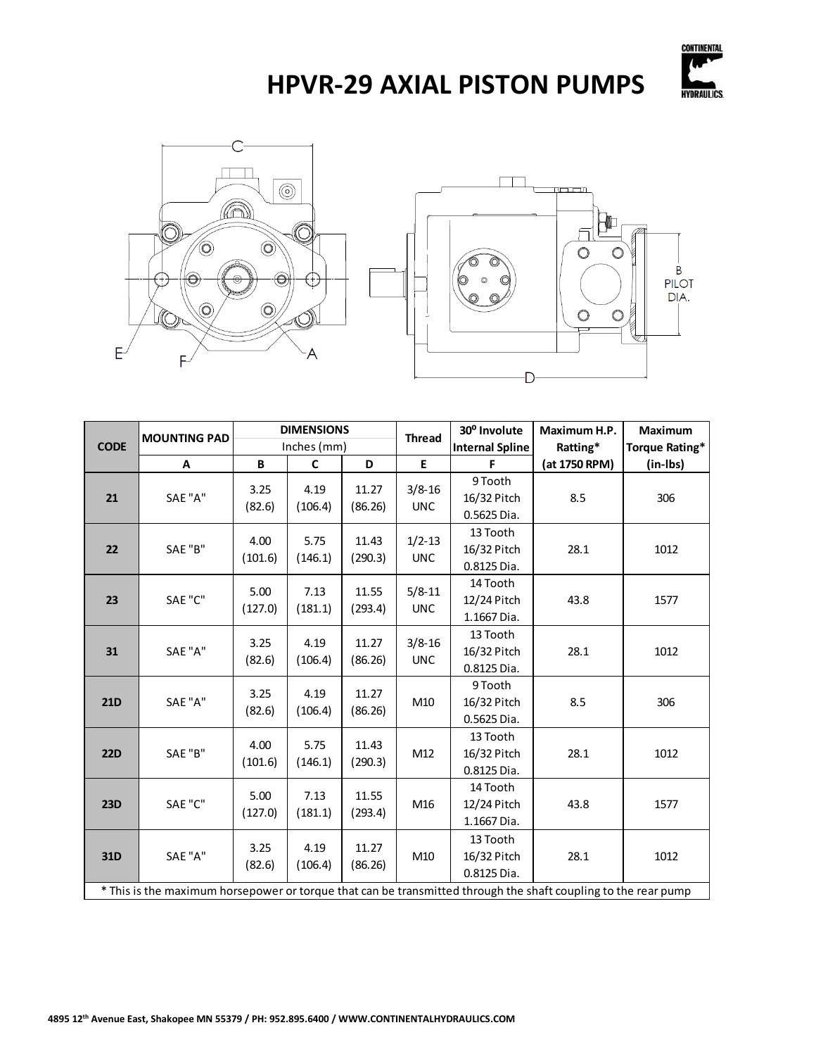





|                                                                                                                | <b>MOUNTING PAD</b> |                 | <b>DIMENSIONS</b> |                  | <b>Thread</b>            | 30° Involute                           | Maximum H.P.   | Maximum  |
|----------------------------------------------------------------------------------------------------------------|---------------------|-----------------|-------------------|------------------|--------------------------|----------------------------------------|----------------|----------|
| <b>CODE</b>                                                                                                    |                     | Inches (mm)     |                   |                  | <b>Internal Spline</b>   | Ratting*                               | Torque Rating* |          |
|                                                                                                                | A                   | B               | C                 | D                | E                        | F                                      | (at 1750 RPM)  | (in-Ibs) |
| 21                                                                                                             | SAE "A"             | 3.25<br>(82.6)  | 4.19<br>(106.4)   | 11.27<br>(86.26) | $3/8 - 16$<br><b>UNC</b> | 9 Tooth<br>16/32 Pitch<br>0.5625 Dia.  | 8.5            | 306      |
| 22                                                                                                             | SAE "B"             | 4.00<br>(101.6) | 5.75<br>(146.1)   | 11.43<br>(290.3) | $1/2 - 13$<br><b>UNC</b> | 13 Tooth<br>16/32 Pitch<br>0.8125 Dia. | 28.1           | 1012     |
| 23                                                                                                             | SAE "C"             | 5.00<br>(127.0) | 7.13<br>(181.1)   | 11.55<br>(293.4) | $5/8 - 11$<br><b>UNC</b> | 14 Tooth<br>12/24 Pitch<br>1.1667 Dia. | 43.8           | 1577     |
| 31                                                                                                             | SAE "A"             | 3.25<br>(82.6)  | 4.19<br>(106.4)   | 11.27<br>(86.26) | $3/8 - 16$<br><b>UNC</b> | 13 Tooth<br>16/32 Pitch<br>0.8125 Dia. | 28.1           | 1012     |
| <b>21D</b>                                                                                                     | SAE "A"             | 3.25<br>(82.6)  | 4.19<br>(106.4)   | 11.27<br>(86.26) | M10                      | 9 Tooth<br>16/32 Pitch<br>0.5625 Dia.  | 8.5            | 306      |
| <b>22D</b>                                                                                                     | SAE "B"             | 4.00<br>(101.6) | 5.75<br>(146.1)   | 11.43<br>(290.3) | M12                      | 13 Tooth<br>16/32 Pitch<br>0.8125 Dia. | 28.1           | 1012     |
| <b>23D</b>                                                                                                     | SAE "C"             | 5.00<br>(127.0) | 7.13<br>(181.1)   | 11.55<br>(293.4) | M16                      | 14 Tooth<br>12/24 Pitch<br>1.1667 Dia. | 43.8           | 1577     |
| 31D                                                                                                            | SAE "A"             | 3.25<br>(82.6)  | 4.19<br>(106.4)   | 11.27<br>(86.26) | M10                      | 13 Tooth<br>16/32 Pitch<br>0.8125 Dia. | 28.1           | 1012     |
| * This is the maximum horsepower or torque that can be transmitted through the shaft coupling to the rear pump |                     |                 |                   |                  |                          |                                        |                |          |